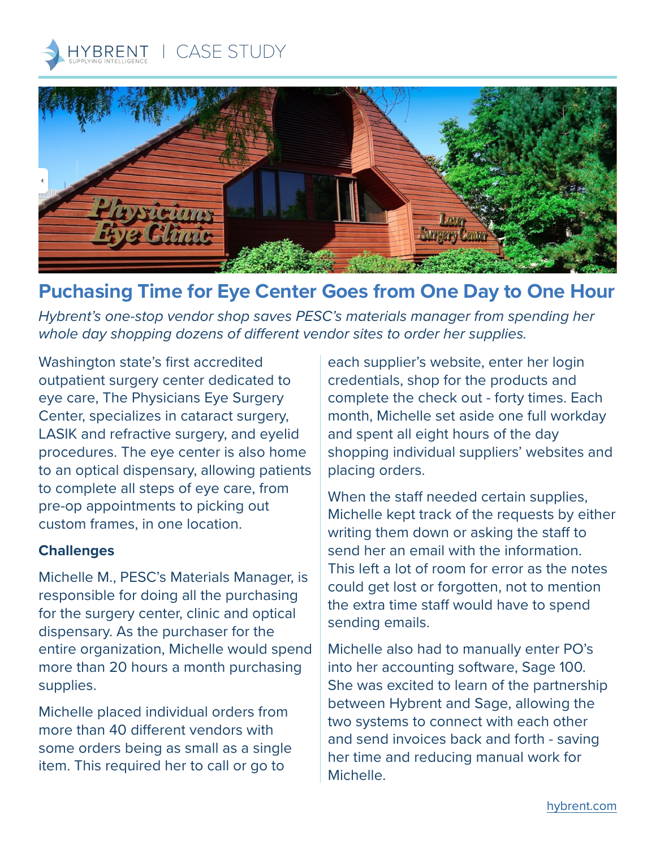



# **Puchasing Time for Eye Center Goes from One Day to One Hour**

*Hybrent's one-stop vendor shop saves PESC's materials manager from spending her whole day shopping dozens of different vendor sites to order her supplies.* 

Washington state's first accredited outpatient surgery center dedicated to eye care, The Physicians Eye Surgery Center, specializes in cataract surgery, LASIK and refractive surgery, and eyelid procedures. The eye center is also home to an optical dispensary, allowing patients to complete all steps of eye care, from pre-op appointments to picking out custom frames, in one location.

#### **Challenges**

Michelle M., PESC's Materials Manager, is responsible for doing all the purchasing for the surgery center, clinic and optical dispensary. As the purchaser for the entire organization, Michelle would spend more than 20 hours a month purchasing supplies.

Michelle placed individual orders from more than 40 different vendors with some orders being as small as a single item. This required her to call or go to

each supplier's website, enter her login credentials, shop for the products and complete the check out - forty times. Each month, Michelle set aside one full workday and spent all eight hours of the day shopping individual suppliers' websites and placing orders.

When the staff needed certain supplies, Michelle kept track of the requests by either writing them down or asking the staff to send her an email with the information. This left a lot of room for error as the notes could get lost or forgotten, not to mention the extra time staff would have to spend sending emails.

Michelle also had to manually enter PO's into her accounting software, Sage 100. She was excited to learn of the partnership between Hybrent and Sage, allowing the two systems to connect with each other and send invoices back and forth - saving her time and reducing manual work for Michelle.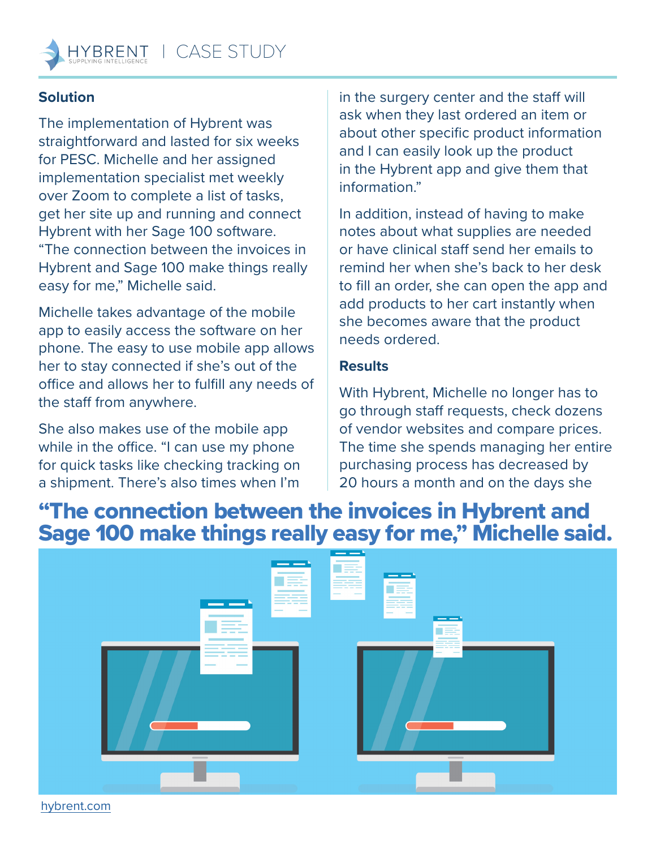## **Solution**

The implementation of Hybrent was straightforward and lasted for six weeks for PESC. Michelle and her assigned implementation specialist met weekly over Zoom to complete a list of tasks, get her site up and running and connect Hybrent with her Sage 100 software. "The connection between the invoices in Hybrent and Sage 100 make things really easy for me," Michelle said.

Michelle takes advantage of the mobile app to easily access the software on her phone. The easy to use mobile app allows her to stay connected if she's out of the office and allows her to fulfill any needs of the staff from anywhere.

She also makes use of the mobile app while in the office. "I can use my phone for quick tasks like checking tracking on a shipment. There's also times when I'm

in the surgery center and the staff will ask when they last ordered an item or about other specific product information and I can easily look up the product in the Hybrent app and give them that information."

In addition, instead of having to make notes about what supplies are needed or have clinical staff send her emails to remind her when she's back to her desk to fill an order, she can open the app and add products to her cart instantly when she becomes aware that the product needs ordered.

### **Results**

With Hybrent, Michelle no longer has to go through staff requests, check dozens of vendor websites and compare prices. The time she spends managing her entire purchasing process has decreased by 20 hours a month and on the days she

# "The connection between the invoices in Hybrent and Sage 100 make things really easy for me," Michelle said.



[hybrent.com](http://hybrent.com)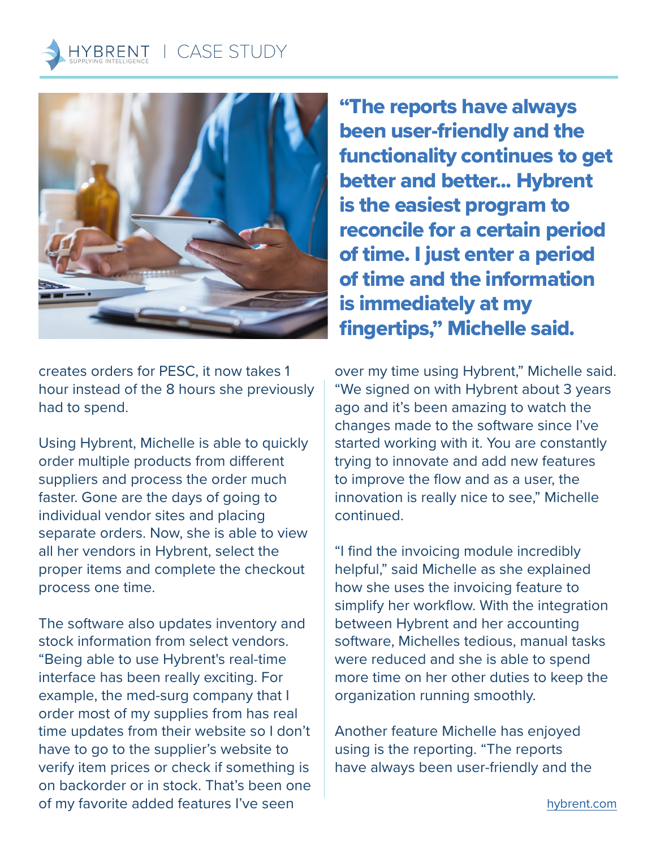

creates orders for PESC, it now takes 1 hour instead of the 8 hours she previously had to spend.

Using Hybrent, Michelle is able to quickly order multiple products from different suppliers and process the order much faster. Gone are the days of going to individual vendor sites and placing separate orders. Now, she is able to view all her vendors in Hybrent, select the proper items and complete the checkout process one time.

The software also updates inventory and stock information from select vendors. "Being able to use Hybrent's real-time interface has been really exciting. For example, the med-surg company that I order most of my supplies from has real time updates from their website so I don't have to go to the supplier's website to verify item prices or check if something is on backorder or in stock. That's been one of my favorite added features I've seen

"The reports have always been user-friendly and the functionality continues to get better and better... Hybrent is the easiest program to reconcile for a certain period of time. I just enter a period of time and the information is immediately at my fingertips," Michelle said.

over my time using Hybrent," Michelle said. "We signed on with Hybrent about 3 years ago and it's been amazing to watch the changes made to the software since I've started working with it. You are constantly trying to innovate and add new features to improve the flow and as a user, the innovation is really nice to see," Michelle continued.

"I find the invoicing module incredibly helpful," said Michelle as she explained how she uses the invoicing feature to simplify her workflow. With the integration between Hybrent and her accounting software, Michelles tedious, manual tasks were reduced and she is able to spend more time on her other duties to keep the organization running smoothly.

Another feature Michelle has enjoyed using is the reporting. "The reports have always been user-friendly and the

[hybrent.com](http://hybrent.com)